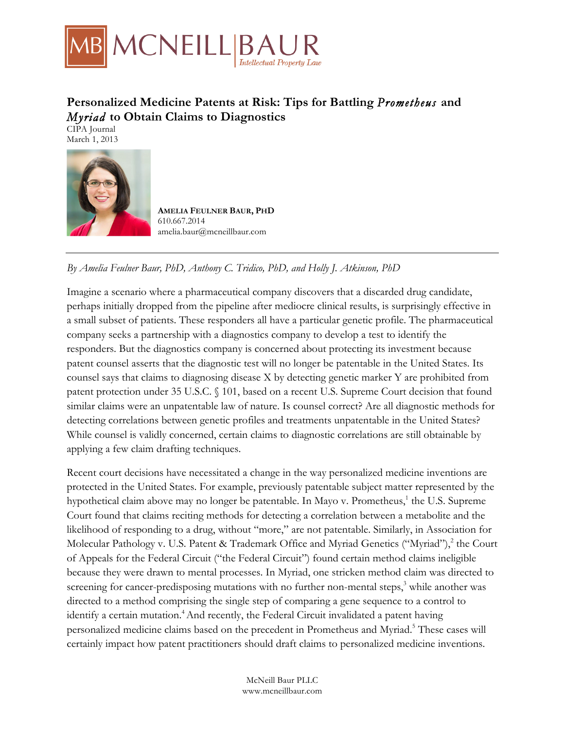

# **Personalized Medicine Patents at Risk: Tips for Battling** *Prometheus* **and**  *Myriad* **to Obtain Claims to Diagnostics**

CIPA Journal March 1, 2013



**AMELIA FEULNER BAUR, PHD**  610.667.2014 amelia.baur@mcneillbaur.com

## *By Amelia Feulner Baur, PhD, Anthony C. Tridico, PhD, and Holly J. Atkinson, PhD*

Imagine a scenario where a pharmaceutical company discovers that a discarded drug candidate, perhaps initially dropped from the pipeline after mediocre clinical results, is surprisingly effective in a small subset of patients. These responders all have a particular genetic profile. The pharmaceutical company seeks a partnership with a diagnostics company to develop a test to identify the responders. But the diagnostics company is concerned about protecting its investment because patent counsel asserts that the diagnostic test will no longer be patentable in the United States. Its counsel says that claims to diagnosing disease X by detecting genetic marker Y are prohibited from patent protection under 35 U.S.C. § 101, based on a recent U.S. Supreme Court decision that found similar claims were an unpatentable law of nature. Is counsel correct? Are all diagnostic methods for detecting correlations between genetic profiles and treatments unpatentable in the United States? While counsel is validly concerned, certain claims to diagnostic correlations are still obtainable by applying a few claim drafting techniques.

Recent court decisions have necessitated a change in the way personalized medicine inventions are protected in the United States. For example, previously patentable subject matter represented by the hypothetical claim above may no longer be patentable. In Mayo v. Prometheus,<sup>1</sup> the U.S. Supreme Court found that claims reciting methods for detecting a correlation between a metabolite and the likelihood of responding to a drug, without "more," are not patentable. Similarly, in Association for Molecular Pathology v. U.S. Patent & Trademark Office and Myriad Genetics ("Myriad"),<sup>2</sup> the Court of Appeals for the Federal Circuit ("the Federal Circuit") found certain method claims ineligible because they were drawn to mental processes. In Myriad, one stricken method claim was directed to screening for cancer-predisposing mutations with no further non-mental steps, $3$  while another was directed to a method comprising the single step of comparing a gene sequence to a control to identify a certain mutation.<sup>4</sup> And recently, the Federal Circuit invalidated a patent having personalized medicine claims based on the precedent in Prometheus and Myriad.<sup>5</sup> These cases will certainly impact how patent practitioners should draft claims to personalized medicine inventions.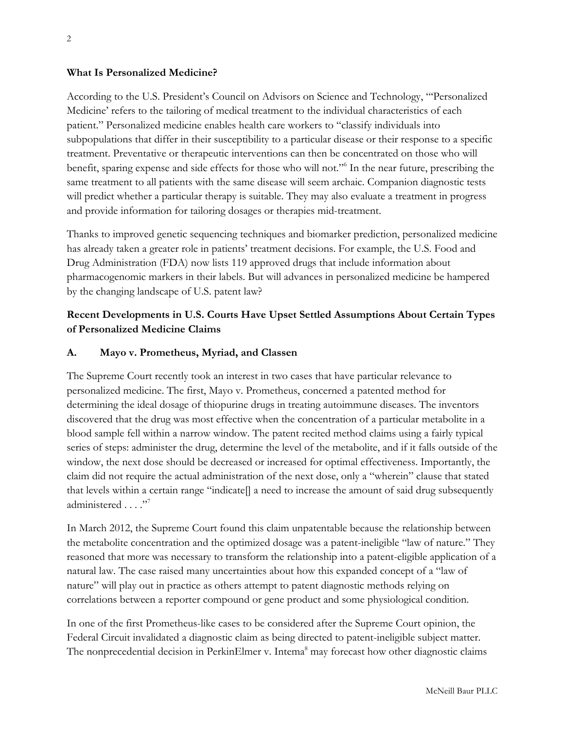#### **What Is Personalized Medicine?**

According to the U.S. President's Council on Advisors on Science and Technology, "'Personalized Medicine' refers to the tailoring of medical treatment to the individual characteristics of each patient." Personalized medicine enables health care workers to "classify individuals into subpopulations that differ in their susceptibility to a particular disease or their response to a specific treatment. Preventative or therapeutic interventions can then be concentrated on those who will benefit, sparing expense and side effects for those who will not."6 In the near future, prescribing the same treatment to all patients with the same disease will seem archaic. Companion diagnostic tests will predict whether a particular therapy is suitable. They may also evaluate a treatment in progress and provide information for tailoring dosages or therapies mid-treatment.

Thanks to improved genetic sequencing techniques and biomarker prediction, personalized medicine has already taken a greater role in patients' treatment decisions. For example, the U.S. Food and Drug Administration (FDA) now lists 119 approved drugs that include information about pharmacogenomic markers in their labels. But will advances in personalized medicine be hampered by the changing landscape of U.S. patent law?

### **Recent Developments in U.S. Courts Have Upset Settled Assumptions About Certain Types of Personalized Medicine Claims**

#### **A. Mayo v. Prometheus, Myriad, and Classen**

The Supreme Court recently took an interest in two cases that have particular relevance to personalized medicine. The first, Mayo v. Prometheus, concerned a patented method for determining the ideal dosage of thiopurine drugs in treating autoimmune diseases. The inventors discovered that the drug was most effective when the concentration of a particular metabolite in a blood sample fell within a narrow window. The patent recited method claims using a fairly typical series of steps: administer the drug, determine the level of the metabolite, and if it falls outside of the window, the next dose should be decreased or increased for optimal effectiveness. Importantly, the claim did not require the actual administration of the next dose, only a "wherein" clause that stated that levels within a certain range "indicate[] a need to increase the amount of said drug subsequently administered . . . ."<sup>7</sup>

In March 2012, the Supreme Court found this claim unpatentable because the relationship between the metabolite concentration and the optimized dosage was a patent-ineligible "law of nature." They reasoned that more was necessary to transform the relationship into a patent-eligible application of a natural law. The case raised many uncertainties about how this expanded concept of a "law of nature" will play out in practice as others attempt to patent diagnostic methods relying on correlations between a reporter compound or gene product and some physiological condition.

In one of the first Prometheus-like cases to be considered after the Supreme Court opinion, the Federal Circuit invalidated a diagnostic claim as being directed to patent-ineligible subject matter. The nonprecedential decision in PerkinElmer v. Intema<sup>8</sup> may forecast how other diagnostic claims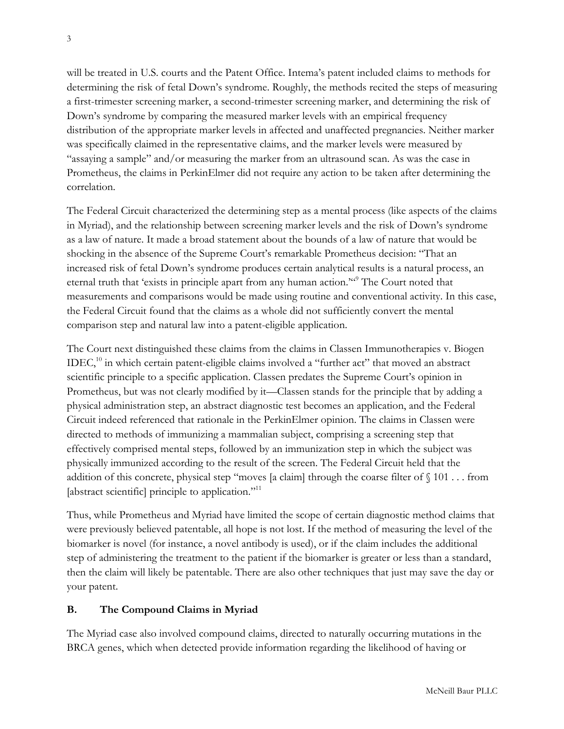will be treated in U.S. courts and the Patent Office. Intema's patent included claims to methods for determining the risk of fetal Down's syndrome. Roughly, the methods recited the steps of measuring a first-trimester screening marker, a second-trimester screening marker, and determining the risk of Down's syndrome by comparing the measured marker levels with an empirical frequency distribution of the appropriate marker levels in affected and unaffected pregnancies. Neither marker was specifically claimed in the representative claims, and the marker levels were measured by "assaying a sample" and/or measuring the marker from an ultrasound scan. As was the case in Prometheus, the claims in PerkinElmer did not require any action to be taken after determining the correlation.

The Federal Circuit characterized the determining step as a mental process (like aspects of the claims in Myriad), and the relationship between screening marker levels and the risk of Down's syndrome as a law of nature. It made a broad statement about the bounds of a law of nature that would be shocking in the absence of the Supreme Court's remarkable Prometheus decision: "That an increased risk of fetal Down's syndrome produces certain analytical results is a natural process, an eternal truth that 'exists in principle apart from any human action."<sup>"</sup> The Court noted that measurements and comparisons would be made using routine and conventional activity. In this case, the Federal Circuit found that the claims as a whole did not sufficiently convert the mental comparison step and natural law into a patent-eligible application.

The Court next distinguished these claims from the claims in Classen Immunotherapies v. Biogen  $IDEC<sub>10</sub>$  in which certain patent-eligible claims involved a "further act" that moved an abstract scientific principle to a specific application. Classen predates the Supreme Court's opinion in Prometheus, but was not clearly modified by it—Classen stands for the principle that by adding a physical administration step, an abstract diagnostic test becomes an application, and the Federal Circuit indeed referenced that rationale in the PerkinElmer opinion. The claims in Classen were directed to methods of immunizing a mammalian subject, comprising a screening step that effectively comprised mental steps, followed by an immunization step in which the subject was physically immunized according to the result of the screen. The Federal Circuit held that the addition of this concrete, physical step "moves [a claim] through the coarse filter of  $\S 101 \dots$  from [abstract scientific] principle to application."<sup>11</sup>

Thus, while Prometheus and Myriad have limited the scope of certain diagnostic method claims that were previously believed patentable, all hope is not lost. If the method of measuring the level of the biomarker is novel (for instance, a novel antibody is used), or if the claim includes the additional step of administering the treatment to the patient if the biomarker is greater or less than a standard, then the claim will likely be patentable. There are also other techniques that just may save the day or your patent.

#### **B. The Compound Claims in Myriad**

The Myriad case also involved compound claims, directed to naturally occurring mutations in the BRCA genes, which when detected provide information regarding the likelihood of having or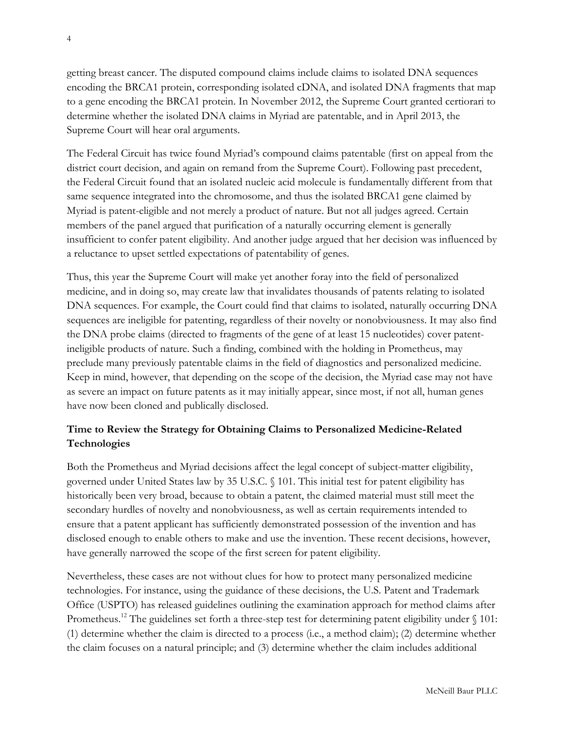getting breast cancer. The disputed compound claims include claims to isolated DNA sequences encoding the BRCA1 protein, corresponding isolated cDNA, and isolated DNA fragments that map to a gene encoding the BRCA1 protein. In November 2012, the Supreme Court granted certiorari to determine whether the isolated DNA claims in Myriad are patentable, and in April 2013, the Supreme Court will hear oral arguments.

The Federal Circuit has twice found Myriad's compound claims patentable (first on appeal from the district court decision, and again on remand from the Supreme Court). Following past precedent, the Federal Circuit found that an isolated nucleic acid molecule is fundamentally different from that same sequence integrated into the chromosome, and thus the isolated BRCA1 gene claimed by Myriad is patent-eligible and not merely a product of nature. But not all judges agreed. Certain members of the panel argued that purification of a naturally occurring element is generally insufficient to confer patent eligibility. And another judge argued that her decision was influenced by a reluctance to upset settled expectations of patentability of genes.

Thus, this year the Supreme Court will make yet another foray into the field of personalized medicine, and in doing so, may create law that invalidates thousands of patents relating to isolated DNA sequences. For example, the Court could find that claims to isolated, naturally occurring DNA sequences are ineligible for patenting, regardless of their novelty or nonobviousness. It may also find the DNA probe claims (directed to fragments of the gene of at least 15 nucleotides) cover patentineligible products of nature. Such a finding, combined with the holding in Prometheus, may preclude many previously patentable claims in the field of diagnostics and personalized medicine. Keep in mind, however, that depending on the scope of the decision, the Myriad case may not have as severe an impact on future patents as it may initially appear, since most, if not all, human genes have now been cloned and publically disclosed.

#### **Time to Review the Strategy for Obtaining Claims to Personalized Medicine-Related Technologies**

Both the Prometheus and Myriad decisions affect the legal concept of subject-matter eligibility, governed under United States law by 35 U.S.C. § 101. This initial test for patent eligibility has historically been very broad, because to obtain a patent, the claimed material must still meet the secondary hurdles of novelty and nonobviousness, as well as certain requirements intended to ensure that a patent applicant has sufficiently demonstrated possession of the invention and has disclosed enough to enable others to make and use the invention. These recent decisions, however, have generally narrowed the scope of the first screen for patent eligibility.

Nevertheless, these cases are not without clues for how to protect many personalized medicine technologies. For instance, using the guidance of these decisions, the U.S. Patent and Trademark Office (USPTO) has released guidelines outlining the examination approach for method claims after Prometheus.<sup>12</sup> The guidelines set forth a three-step test for determining patent eligibility under  $\S 101$ : (1) determine whether the claim is directed to a process (i.e., a method claim); (2) determine whether the claim focuses on a natural principle; and (3) determine whether the claim includes additional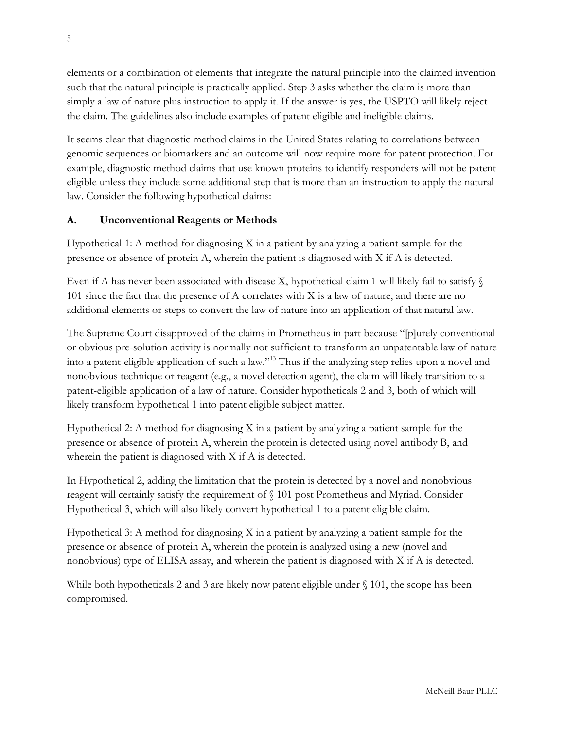elements or a combination of elements that integrate the natural principle into the claimed invention such that the natural principle is practically applied. Step 3 asks whether the claim is more than simply a law of nature plus instruction to apply it. If the answer is yes, the USPTO will likely reject the claim. The guidelines also include examples of patent eligible and ineligible claims.

It seems clear that diagnostic method claims in the United States relating to correlations between genomic sequences or biomarkers and an outcome will now require more for patent protection. For example, diagnostic method claims that use known proteins to identify responders will not be patent eligible unless they include some additional step that is more than an instruction to apply the natural law. Consider the following hypothetical claims:

#### **A. Unconventional Reagents or Methods**

Hypothetical 1: A method for diagnosing  $X$  in a patient by analyzing a patient sample for the presence or absence of protein A, wherein the patient is diagnosed with X if A is detected.

Even if A has never been associated with disease X, hypothetical claim 1 will likely fail to satisfy  $\S$ 101 since the fact that the presence of A correlates with X is a law of nature, and there are no additional elements or steps to convert the law of nature into an application of that natural law.

The Supreme Court disapproved of the claims in Prometheus in part because "[p]urely conventional or obvious pre-solution activity is normally not sufficient to transform an unpatentable law of nature into a patent-eligible application of such a law."13 Thus if the analyzing step relies upon a novel and nonobvious technique or reagent (e.g., a novel detection agent), the claim will likely transition to a patent-eligible application of a law of nature. Consider hypotheticals 2 and 3, both of which will likely transform hypothetical 1 into patent eligible subject matter.

Hypothetical 2: A method for diagnosing X in a patient by analyzing a patient sample for the presence or absence of protein A, wherein the protein is detected using novel antibody B, and wherein the patient is diagnosed with X if A is detected.

In Hypothetical 2, adding the limitation that the protein is detected by a novel and nonobvious reagent will certainly satisfy the requirement of § 101 post Prometheus and Myriad. Consider Hypothetical 3, which will also likely convert hypothetical 1 to a patent eligible claim.

Hypothetical 3: A method for diagnosing  $X$  in a patient by analyzing a patient sample for the presence or absence of protein A, wherein the protein is analyzed using a new (novel and nonobvious) type of ELISA assay, and wherein the patient is diagnosed with X if A is detected.

While both hypotheticals 2 and 3 are likely now patent eligible under  $\S$  101, the scope has been compromised.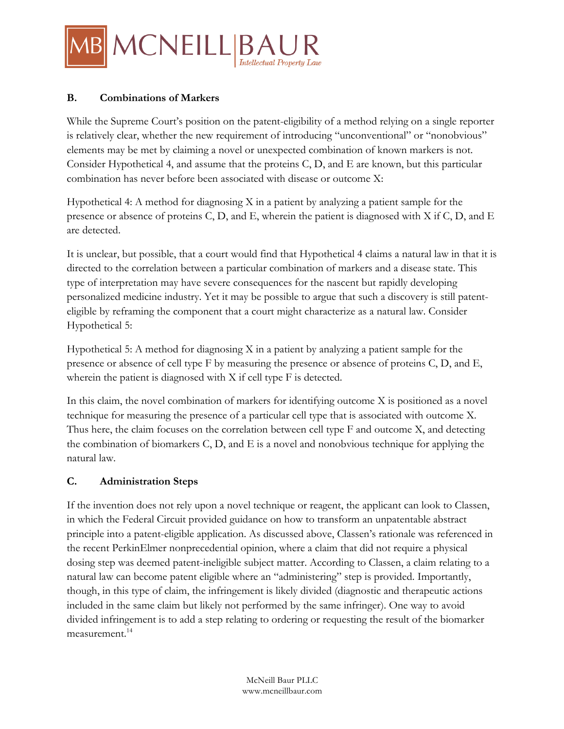

#### **B. Combinations of Markers**

While the Supreme Court's position on the patent-eligibility of a method relying on a single reporter is relatively clear, whether the new requirement of introducing "unconventional" or "nonobvious" elements may be met by claiming a novel or unexpected combination of known markers is not. Consider Hypothetical 4, and assume that the proteins C, D, and E are known, but this particular combination has never before been associated with disease or outcome X:

Hypothetical 4: A method for diagnosing X in a patient by analyzing a patient sample for the presence or absence of proteins C, D, and E, wherein the patient is diagnosed with X if C, D, and E are detected.

It is unclear, but possible, that a court would find that Hypothetical 4 claims a natural law in that it is directed to the correlation between a particular combination of markers and a disease state. This type of interpretation may have severe consequences for the nascent but rapidly developing personalized medicine industry. Yet it may be possible to argue that such a discovery is still patenteligible by reframing the component that a court might characterize as a natural law. Consider Hypothetical 5:

Hypothetical 5: A method for diagnosing X in a patient by analyzing a patient sample for the presence or absence of cell type F by measuring the presence or absence of proteins C, D, and E, wherein the patient is diagnosed with X if cell type F is detected.

In this claim, the novel combination of markers for identifying outcome X is positioned as a novel technique for measuring the presence of a particular cell type that is associated with outcome X. Thus here, the claim focuses on the correlation between cell type F and outcome X, and detecting the combination of biomarkers C, D, and E is a novel and nonobvious technique for applying the natural law.

#### **C. Administration Steps**

If the invention does not rely upon a novel technique or reagent, the applicant can look to Classen, in which the Federal Circuit provided guidance on how to transform an unpatentable abstract principle into a patent-eligible application. As discussed above, Classen's rationale was referenced in the recent PerkinElmer nonprecedential opinion, where a claim that did not require a physical dosing step was deemed patent-ineligible subject matter. According to Classen, a claim relating to a natural law can become patent eligible where an "administering" step is provided. Importantly, though, in this type of claim, the infringement is likely divided (diagnostic and therapeutic actions included in the same claim but likely not performed by the same infringer). One way to avoid divided infringement is to add a step relating to ordering or requesting the result of the biomarker measurement.<sup>14</sup>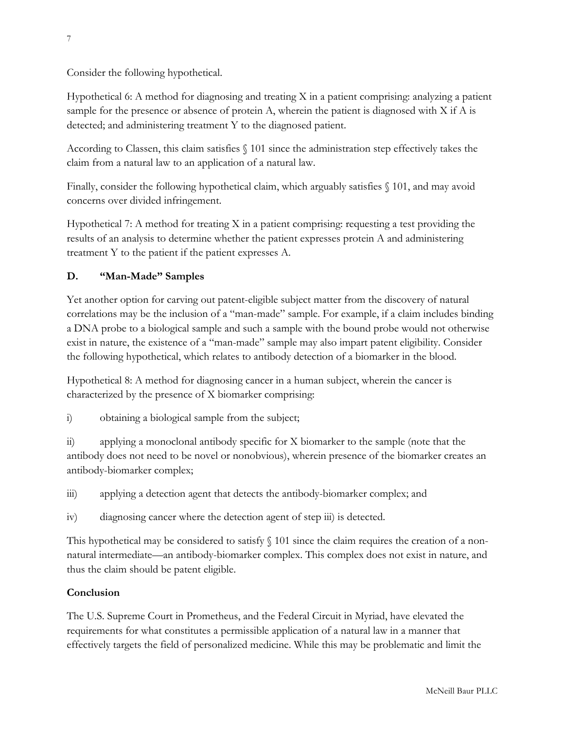Consider the following hypothetical.

Hypothetical 6: A method for diagnosing and treating X in a patient comprising: analyzing a patient sample for the presence or absence of protein A, wherein the patient is diagnosed with X if A is detected; and administering treatment Y to the diagnosed patient.

According to Classen, this claim satisfies § 101 since the administration step effectively takes the claim from a natural law to an application of a natural law.

Finally, consider the following hypothetical claim, which arguably satisfies § 101, and may avoid concerns over divided infringement.

Hypothetical 7: A method for treating X in a patient comprising: requesting a test providing the results of an analysis to determine whether the patient expresses protein A and administering treatment Y to the patient if the patient expresses A.

### **D. "Man-Made" Samples**

Yet another option for carving out patent-eligible subject matter from the discovery of natural correlations may be the inclusion of a "man-made" sample. For example, if a claim includes binding a DNA probe to a biological sample and such a sample with the bound probe would not otherwise exist in nature, the existence of a "man-made" sample may also impart patent eligibility. Consider the following hypothetical, which relates to antibody detection of a biomarker in the blood.

Hypothetical 8: A method for diagnosing cancer in a human subject, wherein the cancer is characterized by the presence of X biomarker comprising:

i) obtaining a biological sample from the subject;

ii) applying a monoclonal antibody specific for X biomarker to the sample (note that the antibody does not need to be novel or nonobvious), wherein presence of the biomarker creates an antibody-biomarker complex;

iii) applying a detection agent that detects the antibody-biomarker complex; and

iv) diagnosing cancer where the detection agent of step iii) is detected.

This hypothetical may be considered to satisfy § 101 since the claim requires the creation of a nonnatural intermediate—an antibody-biomarker complex. This complex does not exist in nature, and thus the claim should be patent eligible.

## **Conclusion**

The U.S. Supreme Court in Prometheus, and the Federal Circuit in Myriad, have elevated the requirements for what constitutes a permissible application of a natural law in a manner that effectively targets the field of personalized medicine. While this may be problematic and limit the